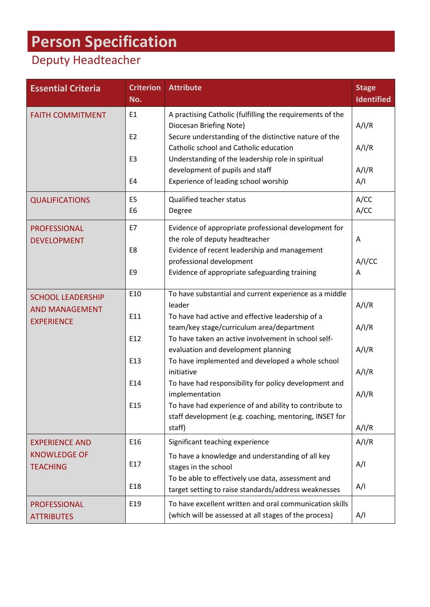## **Person Specification**

## Deputy Headteacher

| <b>Essential Criteria</b>                                              | <b>Criterion</b><br>No.          | <b>Attribute</b>                                                                                                 | <b>Stage</b><br><b>Identified</b> |
|------------------------------------------------------------------------|----------------------------------|------------------------------------------------------------------------------------------------------------------|-----------------------------------|
| <b>FAITH COMMITMENT</b>                                                | E <sub>1</sub>                   | A practising Catholic (fulfilling the requirements of the<br>Diocesan Briefing Note)                             | A/I/R                             |
|                                                                        | E <sub>2</sub>                   | Secure understanding of the distinctive nature of the<br>Catholic school and Catholic education                  | A/I/R                             |
|                                                                        | E <sub>3</sub>                   | Understanding of the leadership role in spiritual<br>development of pupils and staff                             | A/I/R                             |
|                                                                        | E4                               | Experience of leading school worship                                                                             | A/I                               |
| <b>QUALIFICATIONS</b>                                                  | E <sub>5</sub><br>E <sub>6</sub> | Qualified teacher status<br>Degree                                                                               | A/CC<br>A/CC                      |
| <b>PROFESSIONAL</b><br><b>DEVELOPMENT</b>                              | E7                               | Evidence of appropriate professional development for<br>the role of deputy headteacher                           | A                                 |
|                                                                        | E8                               | Evidence of recent leadership and management<br>professional development                                         | A/I/CC                            |
|                                                                        | E <sub>9</sub>                   | Evidence of appropriate safeguarding training                                                                    | A                                 |
| <b>SCHOOL LEADERSHIP</b><br><b>AND MANAGEMENT</b><br><b>EXPERIENCE</b> | E10                              | To have substantial and current experience as a middle<br>leader                                                 | A/I/R                             |
|                                                                        | E11                              | To have had active and effective leadership of a<br>team/key stage/curriculum area/department                    | A/I/R                             |
|                                                                        | E12                              | To have taken an active involvement in school self-<br>evaluation and development planning                       | A/I/R                             |
|                                                                        | E13                              | To have implemented and developed a whole school<br>initiative                                                   | A/I/R                             |
|                                                                        | E14                              | To have had responsibility for policy development and<br>implementation                                          | A/I/R                             |
|                                                                        | E15                              | To have had experience of and ability to contribute to<br>staff development (e.g. coaching, mentoring, INSET for |                                   |
|                                                                        |                                  | staff)                                                                                                           | A/I/R                             |
| <b>EXPERIENCE AND</b><br><b>KNOWLEDGE OF</b><br><b>TEACHING</b>        | E16                              | Significant teaching experience                                                                                  | A/I/R                             |
|                                                                        | E17                              | To have a knowledge and understanding of all key<br>stages in the school                                         | A/I                               |
|                                                                        | E18                              | To be able to effectively use data, assessment and<br>target setting to raise standards/address weaknesses       | A/I                               |
| <b>PROFESSIONAL</b><br><b>ATTRIBUTES</b>                               | E19                              | To have excellent written and oral communication skills<br>(which will be assessed at all stages of the process) | A/I                               |